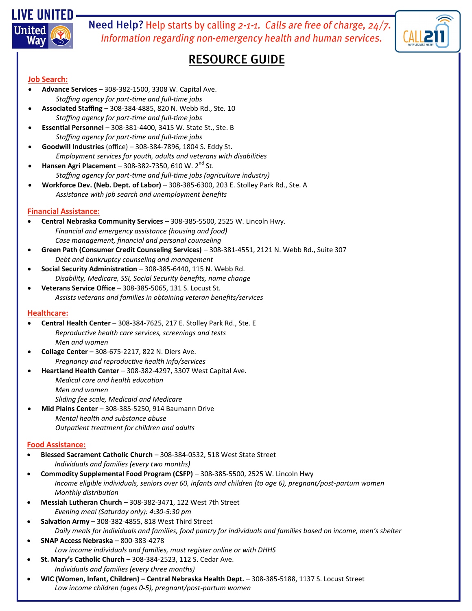

Need Help? Help starts by calling 2-1-1. Calls are free of charge, 24/7. Information regarding non-emergency health and human services.

# **RESOURCE GUIDE**

# **Job Search:**

- **Advance Services**  308-382-1500, 3308 W. Capital Ave. *Staffing agency for part-time and full-time jobs*
- **Associated Staffing**  308-384-4885, 820 N. Webb Rd., Ste. 10 *Staffing agency for part-time and full-time jobs*
- **Essential Personnel**  308-381-4400, 3415 W. State St., Ste. B *Staffing agency for part-time and full-time jobs*
- **Goodwill Industries** (office) 308-384-7896, 1804 S. Eddy St. *Employment services for youth, adults and veterans with disabilities*
- **Hansen Agri Placement 308-382-7350, 610 W. 2<sup>nd</sup> St.** *Staffing agency for part-time and full-time jobs (agriculture industry)*
- **Workforce Dev. (Neb. Dept. of Labor)**  308-385-6300, 203 E. Stolley Park Rd., Ste. A *Assistance with job search and unemployment benefits*

# **Financial Assistance:**

- **Central Nebraska Community Services**  308-385-5500, 2525 W. Lincoln Hwy. *Financial and emergency assistance (housing and food) Case management, financial and personal counseling*
- **Green Path (Consumer Credit Counseling Services)**  308-381-4551, 2121 N. Webb Rd., Suite 307 *Debt and bankruptcy counseling and management*
- **Social Security Administration**  308-385-6440, 115 N. Webb Rd. *Disability, Medicare, SSI, Social Security benefits, name change*
- **Veterans Service Office**  308-385-5065, 131 S. Locust St. *Assists veterans and families in obtaining veteran benefits/services*

### **Healthcare:**

- **Central Health Center**  308-384-7625, 217 E. Stolley Park Rd., Ste. E *Reproductive health care services, screenings and tests Men and women*
- **Collage Center**  308-675-2217, 822 N. Diers Ave. *Pregnancy and reproductive health info/services*
- **Heartland Health Center**  308-382-4297, 3307 West Capital Ave. *Medical care and health education Men and women Sliding fee scale, Medicaid and Medicare*
- **Mid Plains Center**  308-385-5250, 914 Baumann Drive *Mental health and substance abuse Outpatient treatment for children and adults*

# **Food Assistance:**

- **Blessed Sacrament Catholic Church**  308-384-0532, 518 West State Street *Individuals and families (every two months)*
- **Commodity Supplemental Food Program (CSFP)**  308-385-5500, 2525 W. Lincoln Hwy *Income eligible individuals, seniors over 60, infants and children (to age 6), pregnant/post-partum women Monthly distribution*
- **Messiah Lutheran Church**  308-382-3471, 122 West 7th Street *Evening meal (Saturday only): 4:30-5:30 pm*
- **Salvation Army**  308-382-4855, 818 West Third Street *Daily meals for individuals and families, food pantry for individuals and families based on income, men's shelter*
- **SNAP Access Nebraska**  800-383-4278 *Low income individuals and families, must register online or with DHHS*
- **St. Mary's Catholic Church**  308-384-2523, 112 S. Cedar Ave. *Individuals and families (every three months)*
- **WIC (Women, Infant, Children) – Central Nebraska Health Dept.**  308-385-5188, 1137 S. Locust Street *Low income children (ages 0-5), pregnant/post-partum women*